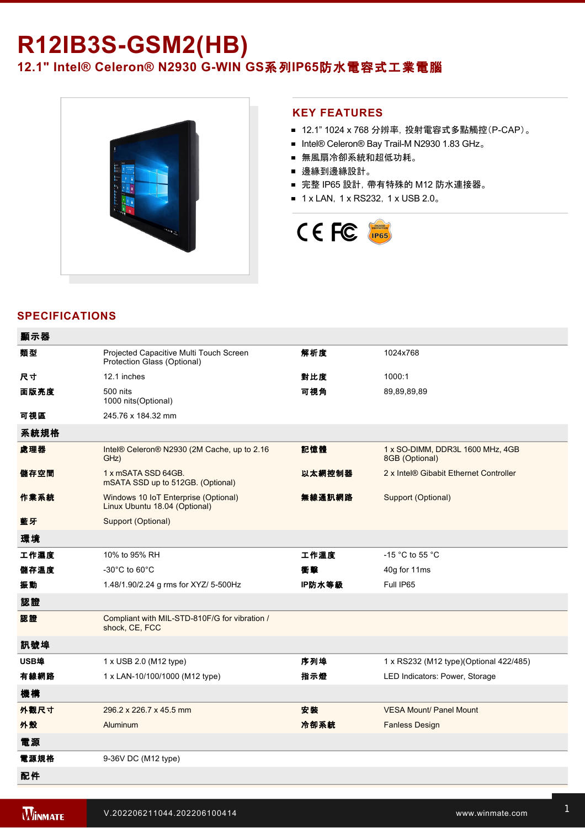# **R12IB3S-GSM2(HB) 12.1" Intel® Celeron® N2930 GWIN GS**系列**IP65**防水電容式工業電腦



### **KEY FEATURES**

- 12.1" 1024 x 768 分辨率, 投射電容式多點觸控(P-CAP)。
- Intel® Celeron® Bay Trail-M N2930 1.83 GHz。
- 無風扇冷卻系統和超低功耗。
- 邊緣到邊緣設計。
- 完整 IP65 設計, 帶有特殊的 M12 防水連接器。
- 1 x LAN, 1 x RS232, 1 x USB 2.0。



# **SPECIFICATIONS**

| 顯示器  |                                                                        |        |                                                    |
|------|------------------------------------------------------------------------|--------|----------------------------------------------------|
| 類型   | Projected Capacitive Multi Touch Screen<br>Protection Glass (Optional) | 解析度    | 1024x768                                           |
| 尺寸   | 12.1 inches                                                            | 對比度    | 1000:1                                             |
| 面版亮度 | 500 nits<br>1000 nits (Optional)                                       | 可視角    | 89,89,89,89                                        |
| 可視區  | 245.76 x 184.32 mm                                                     |        |                                                    |
| 系統規格 |                                                                        |        |                                                    |
| 處理器  | Intel® Celeron® N2930 (2M Cache, up to 2.16<br>GHz)                    | 記憶體    | 1 x SO-DIMM, DDR3L 1600 MHz, 4GB<br>8GB (Optional) |
| 儲存空間 | 1 x mSATA SSD 64GB.<br>mSATA SSD up to 512GB. (Optional)               | 以太網控制器 | 2 x Intel® Gibabit Ethernet Controller             |
| 作業系統 | Windows 10 IoT Enterprise (Optional)<br>Linux Ubuntu 18.04 (Optional)  | 無線通訊網路 | Support (Optional)                                 |
| 藍牙   | Support (Optional)                                                     |        |                                                    |
| 環境   |                                                                        |        |                                                    |
| 工作濕度 | 10% to 95% RH                                                          | 工作溫度   | -15 °C to 55 °C                                    |
| 儲存溫度 | $-30^{\circ}$ C to 60 $^{\circ}$ C                                     | 衝擊     | 40g for 11ms                                       |
| 振動   | 1.48/1.90/2.24 g rms for XYZ/ 5-500Hz                                  | IP防水等級 | Full IP65                                          |
| 認證   |                                                                        |        |                                                    |
| 認證   | Compliant with MIL-STD-810F/G for vibration /<br>shock, CE, FCC        |        |                                                    |
| 訊號埠  |                                                                        |        |                                                    |
| USB埠 | 1 x USB 2.0 (M12 type)                                                 | 序列埠    | 1 x RS232 (M12 type)(Optional 422/485)             |
| 有線網路 | 1 x LAN-10/100/1000 (M12 type)                                         | 指示燈    | LED Indicators: Power, Storage                     |
| 機構   |                                                                        |        |                                                    |
| 外觀尺寸 | 296.2 x 226.7 x 45.5 mm                                                | 安装     | <b>VESA Mount/ Panel Mount</b>                     |
| 外殼   | Aluminum                                                               | 冷卻系統   | <b>Fanless Design</b>                              |
| 電源   |                                                                        |        |                                                    |
| 電源規格 | 9-36V DC (M12 type)                                                    |        |                                                    |
| 配件   |                                                                        |        |                                                    |

Driver CD & User Manual

M12 USB/ LAN Cable of the USB/ Lan Cable of the USB/ Lan Cable of the USB/ Lan Cable